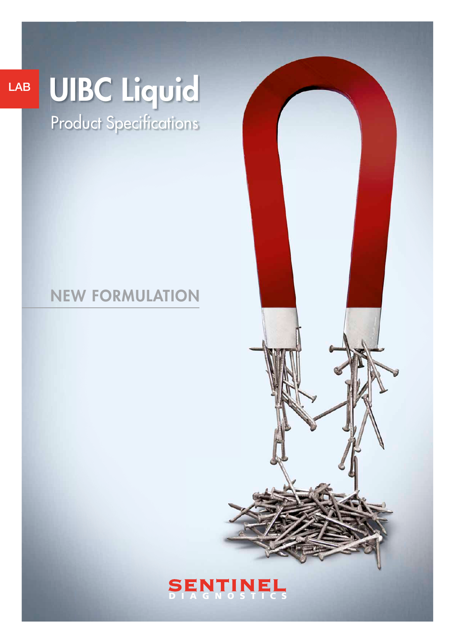## LAB

# UIBC Liquid

Product Specifications

## NEW FORMULATION